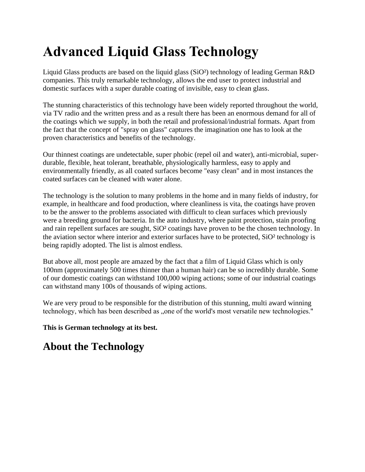# **Advanced Liquid Glass Technology**

Liquid Glass products are based on the liquid glass (SiO²) technology of leading German R&D companies. This truly remarkable technology, allows the end user to protect industrial and domestic surfaces with a super durable coating of invisible, easy to clean glass.

The stunning characteristics of this technology have been widely reported throughout the world, via TV radio and the written press and as a result there has been an enormous demand for all of the coatings which we supply, in both the retail and professional/industrial formats. Apart from the fact that the concept of "spray on glass" captures the imagination one has to look at the proven characteristics and benefits of the technology.

Our thinnest coatings are undetectable, super phobic (repel oil and water), anti-microbial, superdurable, flexible, heat tolerant, breathable, physiologically harmless, easy to apply and environmentally friendly, as all coated surfaces become "easy clean" and in most instances the coated surfaces can be cleaned with water alone.

The technology is the solution to many problems in the home and in many fields of industry, for example, in healthcare and food production, where cleanliness is vita, the coatings have proven to be the answer to the problems associated with difficult to clean surfaces which previously were a breeding ground for bacteria. In the auto industry, where paint protection, stain proofing and rain repellent surfaces are sought, SiO² coatings have proven to be the chosen technology. In the aviation sector where interior and exterior surfaces have to be protected, SiO² technology is being rapidly adopted. The list is almost endless.

But above all, most people are amazed by the fact that a film of Liquid Glass which is only 100nm (approximately 500 times thinner than a human hair) can be so incredibly durable. Some of our domestic coatings can withstand 100,000 wiping actions; some of our industrial coatings can withstand many 100s of thousands of wiping actions.

We are very proud to be responsible for the distribution of this stunning, multi award winning technology, which has been described as "one of the world's most versatile new technologies."

**This is German technology at its best.**

## **About the Technology**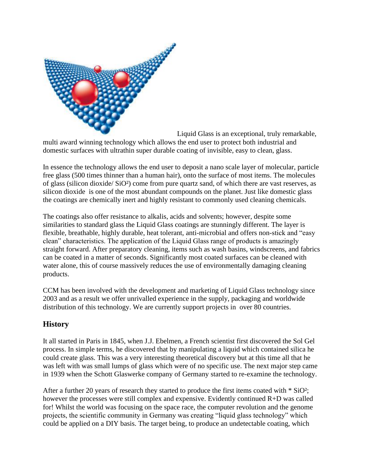

Liquid Glass is an exceptional, truly remarkable, multi award winning technology which allows the end user to protect both industrial and domestic surfaces with ultrathin super durable coating of invisible, easy to clean, glass.

In essence the technology allows the end user to deposit a nano scale layer of molecular, particle free glass (500 times thinner than a human hair), onto the surface of most items. The molecules of glass (silicon dioxide/ SiO²) come from pure quartz sand, of which there are vast reserves, as silicon dioxide is one of the most abundant compounds on the planet. Just like domestic glass the coatings are chemically inert and highly resistant to commonly used cleaning chemicals.

The coatings also offer resistance to alkalis, acids and solvents; however, despite some similarities to standard glass the Liquid Glass coatings are stunningly different. The layer is flexible, breathable, highly durable, heat tolerant, anti-microbial and offers non-stick and "easy clean" characteristics. The application of the Liquid Glass range of products is amazingly straight forward. After preparatory cleaning, items such as wash basins, windscreens, and fabrics can be coated in a matter of seconds. Significantly most coated surfaces can be cleaned with water alone, this of course massively reduces the use of environmentally damaging cleaning products.

CCM has been involved with the development and marketing of Liquid Glass technology since 2003 and as a result we offer unrivalled experience in the supply, packaging and worldwide distribution of this technology. We are currently support projects in over 80 countries.

### **History**

It all started in Paris in 1845, when J.J. Ebelmen, a French scientist first discovered the Sol Gel process. In simple terms, he discovered that by manipulating a liquid which contained silica he could create glass. This was a very interesting theoretical discovery but at this time all that he was left with was small lumps of glass which were of no specific use. The next major step came in 1939 when the Schott Glaswerke company of Germany started to re-examine the technology.

After a further 20 years of research they started to produce the first items coated with \* SiO²; however the processes were still complex and expensive. Evidently continued R+D was called for! Whilst the world was focusing on the space race, the computer revolution and the genome projects, the scientific community in Germany was creating "liquid glass technology" which could be applied on a DIY basis. The target being, to produce an undetectable coating, which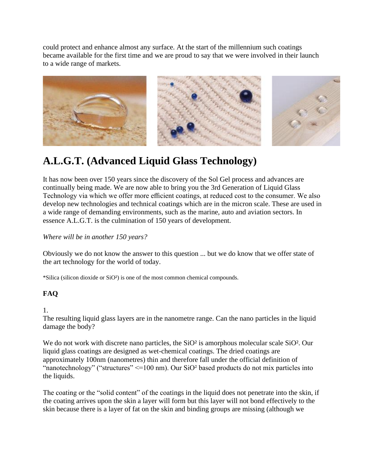could protect and enhance almost any surface. At the start of the millennium such coatings became available for the first time and we are proud to say that we were involved in their launch to a wide range of markets.



# **A.L.G.T. (Advanced Liquid Glass Technology)**

It has now been over 150 years since the discovery of the Sol Gel process and advances are continually being made. We are now able to bring you the 3rd Generation of Liquid Glass Technology via which we offer more efficient coatings, at reduced cost to the consumer. We also develop new technologies and technical coatings which are in the micron scale. These are used in a wide range of demanding environments, such as the marine, auto and aviation sectors. In essence A.L.G.T. is the culmination of 150 years of development.

*Where will be in another 150 years?*

Obviously we do not know the answer to this question ... but we do know that we offer state of the art technology for the world of today.

\*Silica (silicon dioxide or SiO²) is one of the most common chemical compounds.

### **FAQ**

#### 1.

The resulting liquid glass layers are in the nanometre range. Can the nano particles in the liquid damage the body?

We do not work with discrete nano particles, the SiO<sup>2</sup> is amorphous molecular scale SiO<sup>2</sup>. Our liquid glass coatings are designed as wet-chemical coatings. The dried coatings are approximately 100nm (nanometres) thin and therefore fall under the official definition of "nanotechnology" ("structures" <=100 nm). Our SiO<sup>2</sup> based products do not mix particles into the liquids.

The coating or the "solid content" of the coatings in the liquid does not penetrate into the skin, if the coating arrives upon the skin a layer will form but this layer will not bond effectively to the skin because there is a layer of fat on the skin and binding groups are missing (although we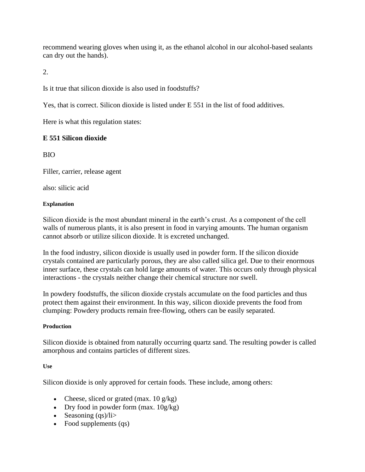recommend wearing gloves when using it, as the ethanol alcohol in our alcohol-based sealants can dry out the hands).

2.

Is it true that silicon dioxide is also used in foodstuffs?

Yes, that is correct. Silicon dioxide is listed under E 551 in the list of food additives.

Here is what this regulation states:

#### **E 551 Silicon dioxide**

BIO

Filler, carrier, release agent

also: silicic acid

#### **Explanation**

Silicon dioxide is the most abundant mineral in the earth's crust. As a component of the cell walls of numerous plants, it is also present in food in varying amounts. The human organism cannot absorb or utilize silicon dioxide. It is excreted unchanged.

In the food industry, silicon dioxide is usually used in powder form. If the silicon dioxide crystals contained are particularly porous, they are also called silica gel. Due to their enormous inner surface, these crystals can hold large amounts of water. This occurs only through physical interactions - the crystals neither change their chemical structure nor swell.

In powdery foodstuffs, the silicon dioxide crystals accumulate on the food particles and thus protect them against their environment. In this way, silicon dioxide prevents the food from clumping: Powdery products remain free-flowing, others can be easily separated.

#### **Production**

Silicon dioxide is obtained from naturally occurring quartz sand. The resulting powder is called amorphous and contains particles of different sizes.

#### **Use**

Silicon dioxide is only approved for certain foods. These include, among others:

- Cheese, sliced or grated (max.  $10 \text{ g/kg}$ )
- Dry food in powder form  $(max. 10g/kg)$
- Seasoning  $(qs)/1$ i>
- Food supplements (qs)